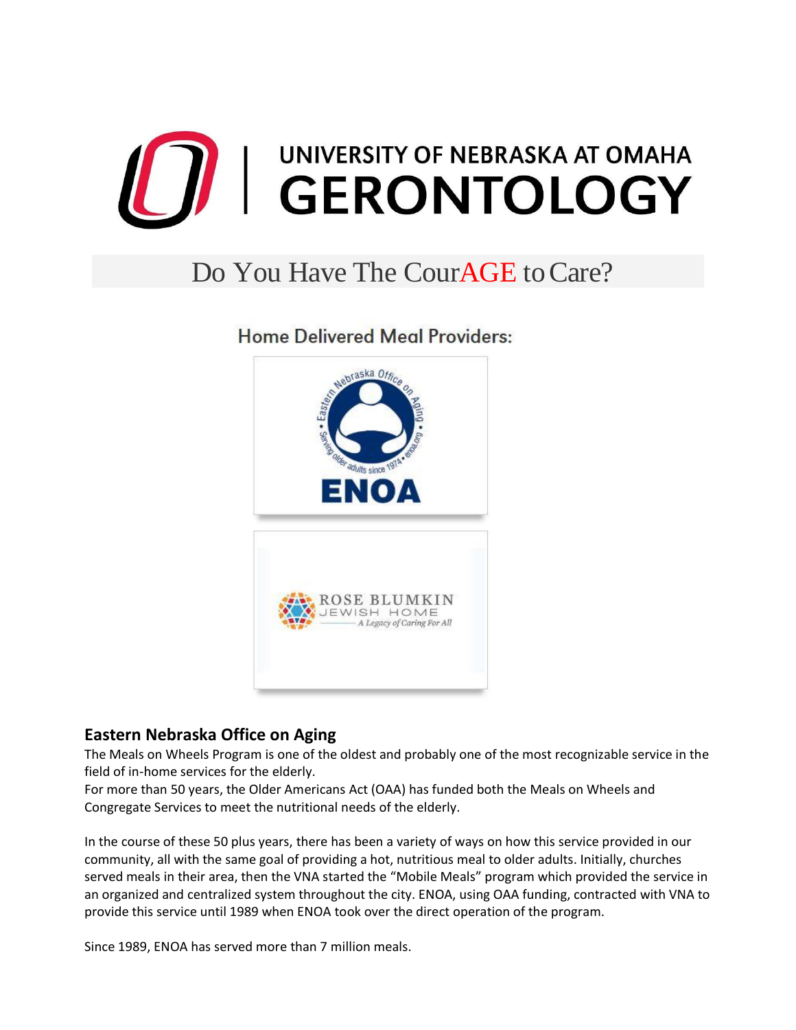

## Do You Have The Cour**AGE** to Care?

**Home Delivered Meal Providers:** 



## **Eastern Nebraska Office on Aging**

The Meals on Wheels Program is one of the oldest and probably one of the most recognizable service in the field of in-home services for the elderly.

For more than 50 years, the Older Americans Act (OAA) has funded both the Meals on Wheels and Congregate Services to meet the nutritional needs of the elderly.

In the course of these 50 plus years, there has been a variety of ways on how this service provided in our community, all with the same goal of providing a hot, nutritious meal to older adults. Initially, churches served meals in their area, then the VNA started the "Mobile Meals" program which provided the service in an organized and centralized system throughout the city. ENOA, using OAA funding, contracted with VNA to provide this service until 1989 when ENOA took over the direct operation of the program.

Since 1989, ENOA has served more than 7 million meals.